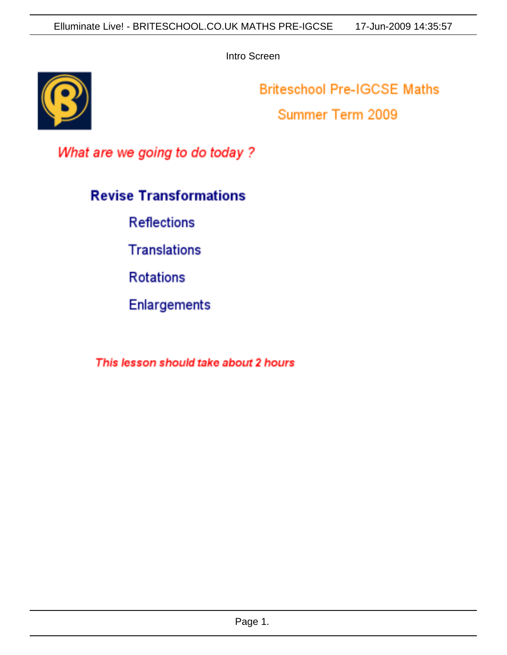Intro Screen

## **Briteschool Pre-IGCSE Maths**

Summer Term 2009

What are we going to do today?

## **Revise Transformations**

**Reflections** 

**Translations** 

**Rotations** 

**Enlargements** 

This lesson should take about 2 hours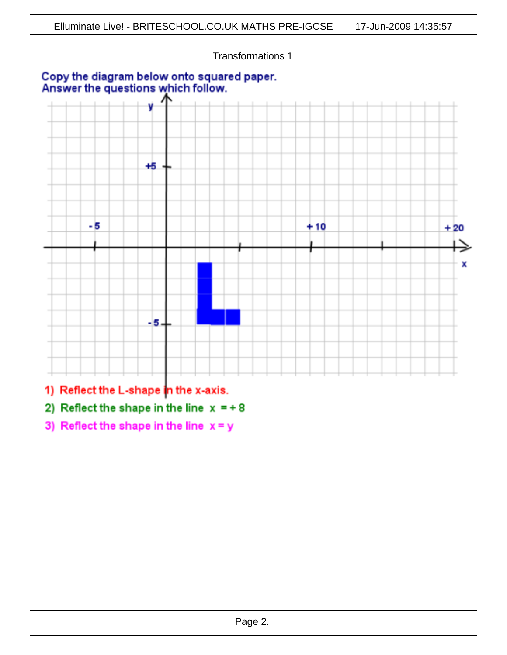Transformations 1

Copy the diagram below onto squared paper.<br>Answer the questions which follow. +5 - 5 + 10  $+20$ X - 5 -

- 1) Reflect the L-shape in the x-axis.
- 2) Reflect the shape in the line  $x = +8$
- 3) Reflect the shape in the line  $x = y$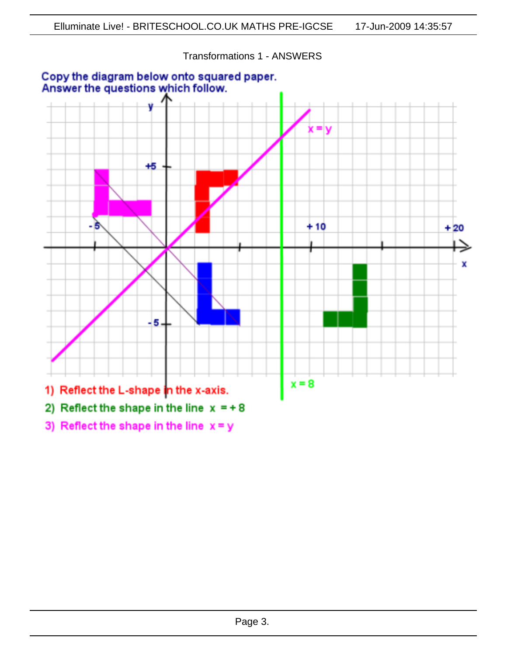

Transformations 1 - ANSWERS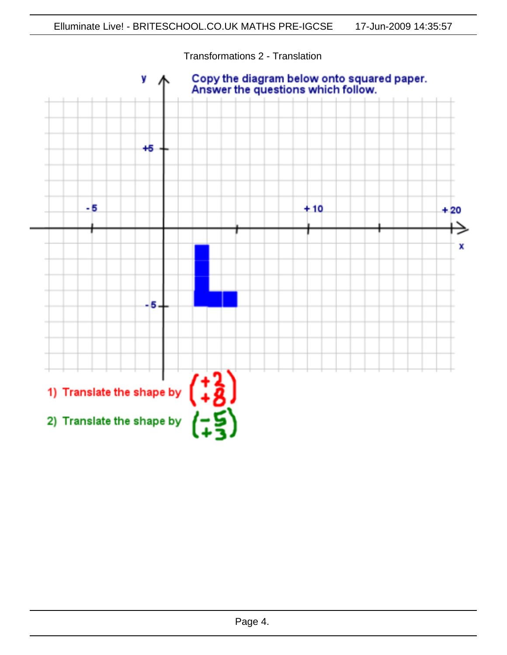

Transformations 2 - Translation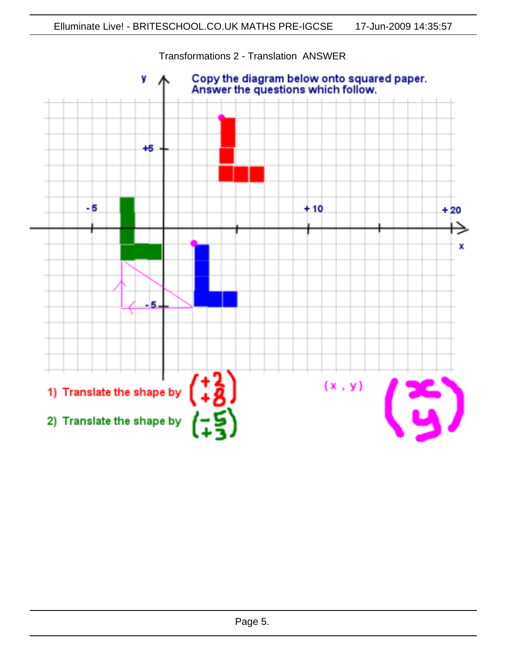

## Transformations 2 - Translation ANSWER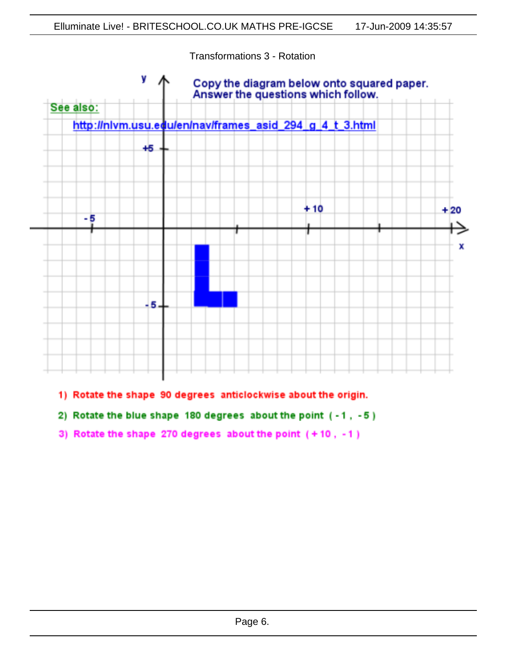

Transformations 3 - Rotation

- 1) Rotate the shape 90 degrees anticlockwise about the origin.
- 2) Rotate the blue shape 180 degrees about the point (-1, -5)
- 3) Rotate the shape 270 degrees about the point  $(+10, -1)$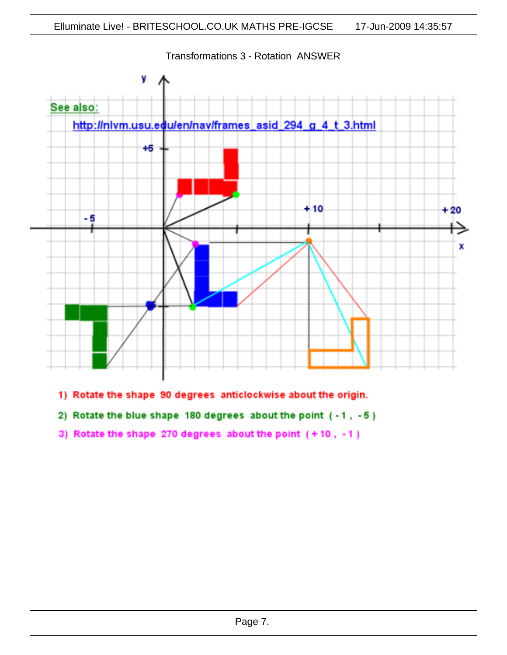

Transformations 3 - Rotation ANSWER

- 1) Rotate the shape 90 degrees anticlockwise about the origin.
- 2) Rotate the blue shape 180 degrees about the point (-1, -5)
- 3) Rotate the shape 270 degrees about the point  $(+10, -1)$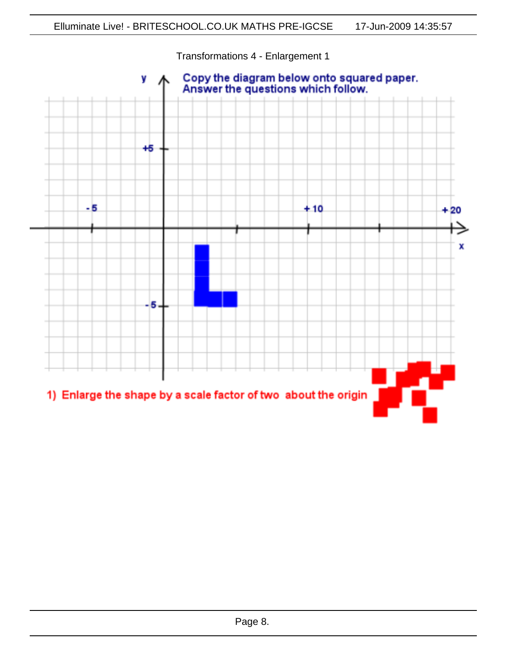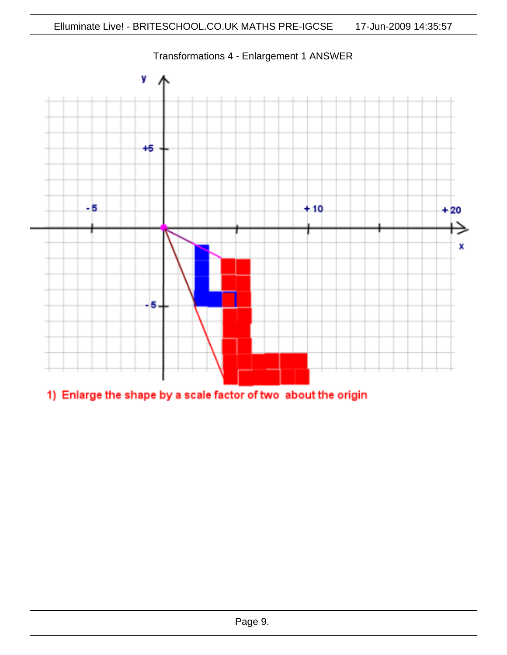

Transformations 4 - Enlargement 1 ANSWER

1) Enlarge the shape by a scale factor of two about the origin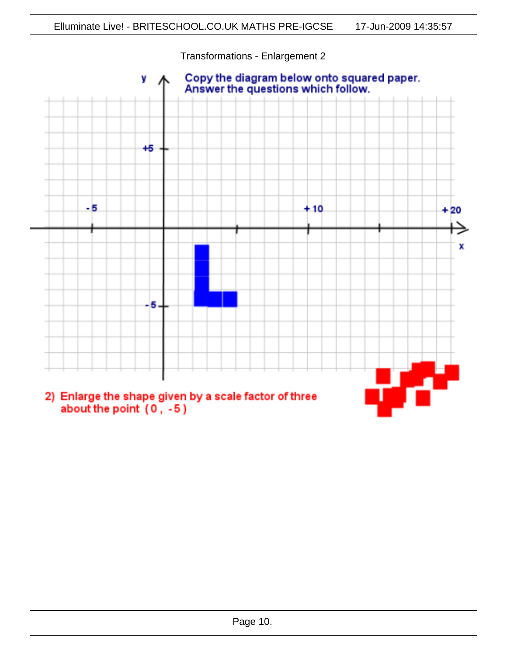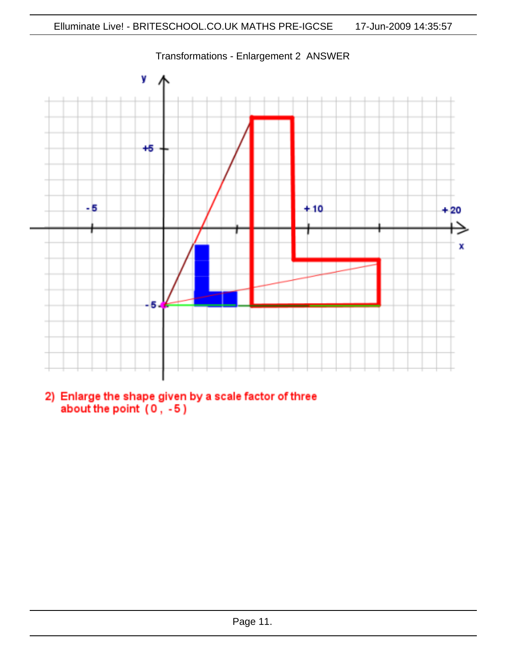

Transformations - Enlargement 2 ANSWER

2) Enlarge the shape given by a scale factor of three about the point  $(0, -5)$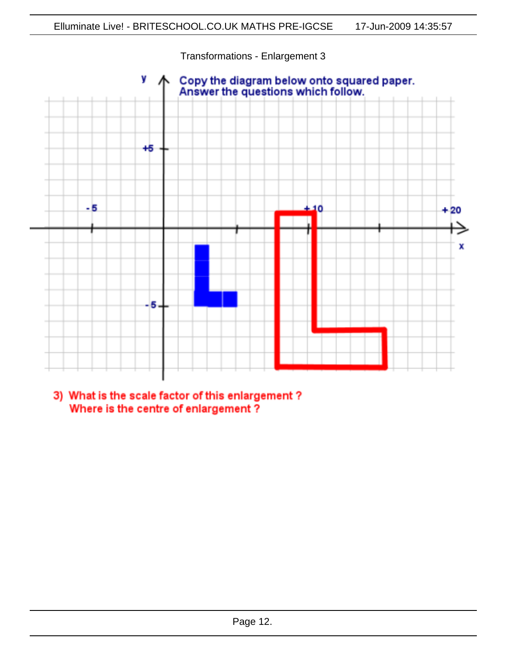

3) What is the scale factor of this enlargement ? Where is the centre of enlargement?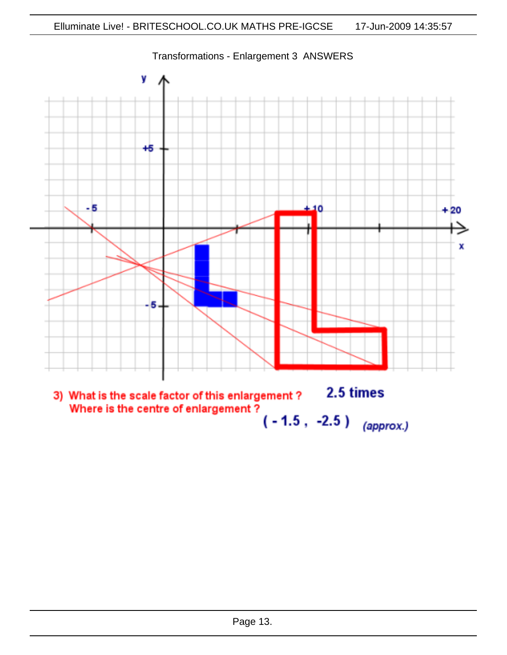

Transformations - Enlargement 3 ANSWERS

2.5 times 3) What is the scale factor of this enlargement ? Where is the centre of enlargement?  $(-1.5, -2.5)$ (approx.)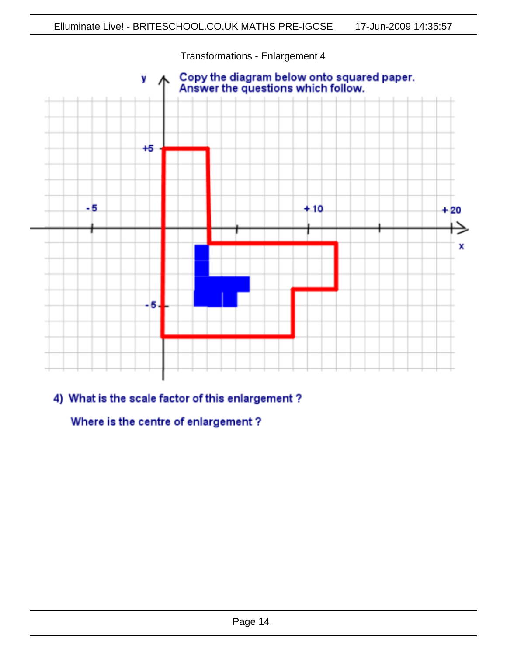

4) What is the scale factor of this enlargement ?

Where is the centre of enlargement?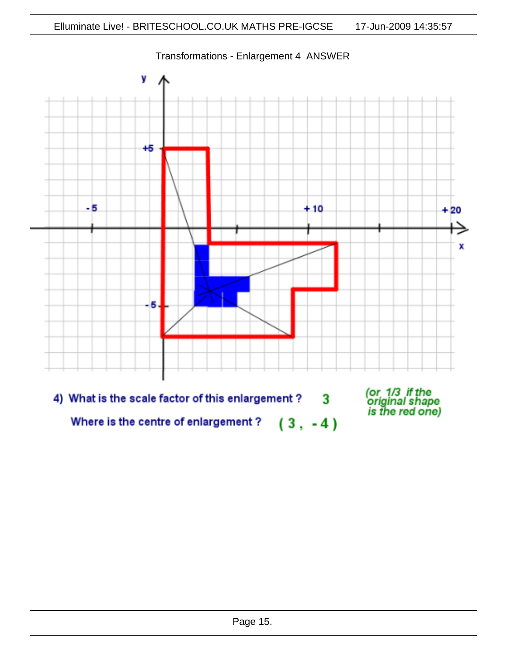

Transformations - Enlargement 4 ANSWER

|  | 4) What is the scale factor of this enlargement? | or<br>orig<br>is th |
|--|--------------------------------------------------|---------------------|
|  | Where is the centre of enlargement?<br>$(3, -4)$ |                     |

1/3 if the<br>jinal shape<br>he red one)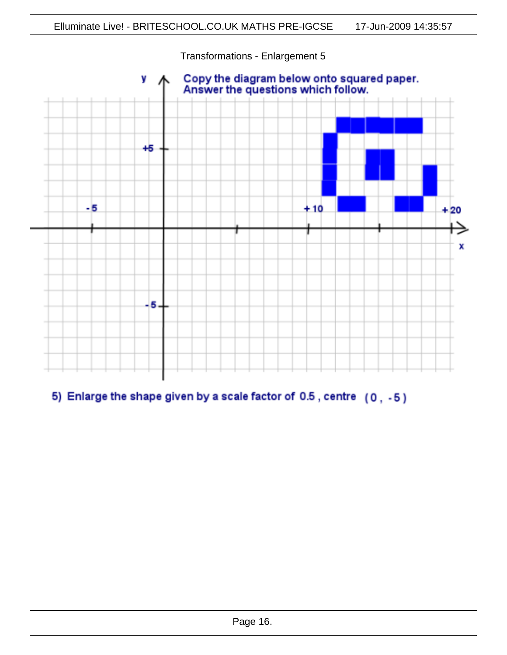

5) Enlarge the shape given by a scale factor of 0.5, centre (0, -5)